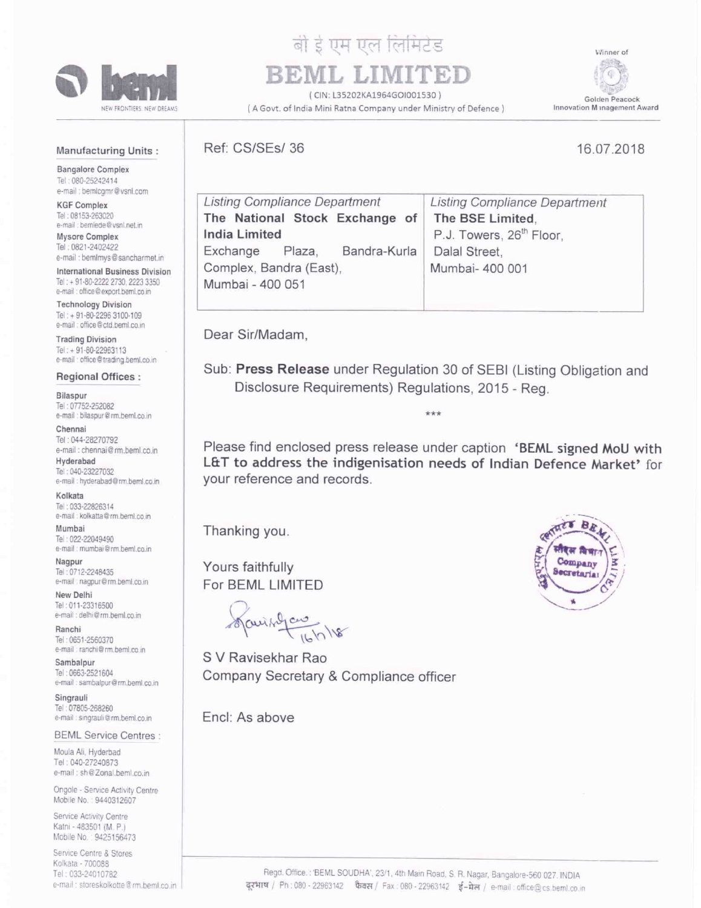

# बो रे एम एल लिमिटेड

(CIN: L35202KA1964GOI001530)

(A Govt. of India Mini Ratna Company under Ministry of Defence)

Winner of 6. Golden Peacock Innovation M magement Award

#### **Manufacturing Units:**

**Bangalore Complex** Tel: 080-25242414 e-mail : bemlcgmr@vsnl.com

**KGF Complex** Tel: 08153-263020 e-mail : bemlede@vsnl.net.in

Mysore Complex Tel: 0821-2402422 e-mail : bemimys@sancharmet.in

International Business Division Tel: + 91-80-2222 2730, 2223 3350 e-mail : office@export.beml.co.in

**Technology Division** Tel: + 91-80-2296 3100-109 e-mail : office@ctd.beml.co.in

**Trading Division** Tel: + 91-80-22963113 e-mail : office@trading.beml.co.in

**Regional Offices:** 

Bilaspur Tel: 07752-252082 e-mail : bilaspur@rm.beml.co.in

Chennai Tel: 044-28270792 e-mail : chennai@rm.beml.co.in

Hyderabad Tel: 040-23227032 e-mail : hyderabad@rm.beml.co.in

Kolkata Tel: 033-22826314 e-mail : kolkatta@rm.bernl.co.in

Mumhai Tel: 022-22049490 e-mail : mumbai@rm.beml.co.in

Nagpur Tel: 0712-2248435 e-mail : nagpur@rm.beml.co.in

New Delhi Tel: 011-23316500 e-mail : delhi@rm.beml.co.in

Ranchi Tel: 0651-2560370 e-mail : ranchi@rm heml co in

Sambalpur Tel: 0663-2521604 e-mail : sambalpur@rm.beml.co.in

Singrauli Tel: 07805-268260 e-mail : singrauli@rm.beml.co.in

**BEML Service Centres:** 

Moula Ali, Hyderbad Tel: 040-27240873 e-mail: sh@Zonal.beml.co.in

Ongole - Service Activity Centre Mobile No.: 9440312607

Service Activity Centre Katni - 483501 (M. P.) Mobile No. 9425156473

Service Centre & Stores Kolkata - 700088 Tel: 033-24010782 e-mail: storeskolkotte@rm.beml.co.in

## Ref: CS/SEs/36

## 16.07.2018

| <b>Listing Compliance Department</b> | <b>Listing Compliance Department</b> |
|--------------------------------------|--------------------------------------|
| The National Stock Exchange of       | The BSE Limited.                     |
| <b>India Limited</b>                 | P.J. Towers, 26 <sup>th</sup> Floor, |
| Bandra-Kurla<br>Exchange Plaza,      | Dalal Street,                        |
| Complex, Bandra (East),              | Mumbai- 400 001                      |
| Mumbai - 400 051                     |                                      |
|                                      |                                      |

Dear Sir/Madam,

Sub: Press Release under Regulation 30 of SEBI (Listing Obligation and Disclosure Requirements) Regulations, 2015 - Reg.

 $***$ 

Please find enclosed press release under caption 'BEML signed MoU with L&T to address the indigenisation needs of Indian Defence Market' for your reference and records.

Thanking you.

Yours faithfully For BEML LIMITED

Janis A Card 16/18

S V Ravisekhar Rao Company Secretary & Compliance officer

Encl: As above